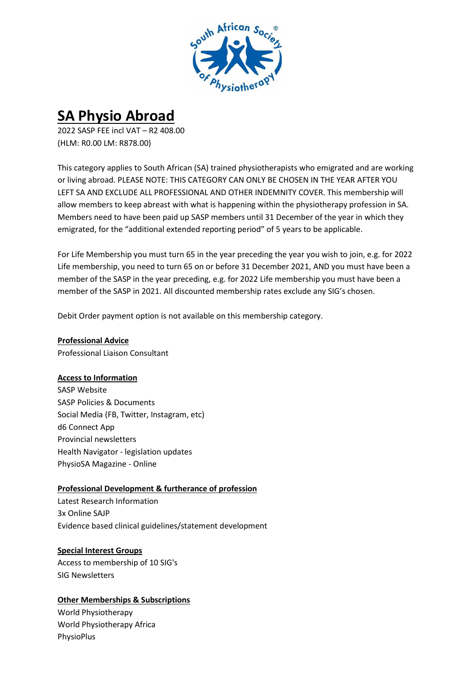

# **SA Physio Abroad**

2022 SASP FEE incl VAT – R2 408.00 (HLM: R0.00 LM: R878.00)

This category applies to South African (SA) trained physiotherapists who emigrated and are working or living abroad. PLEASE NOTE: THIS CATEGORY CAN ONLY BE CHOSEN IN THE YEAR AFTER YOU LEFT SA AND EXCLUDE ALL PROFESSIONAL AND OTHER INDEMNITY COVER. This membership will allow members to keep abreast with what is happening within the physiotherapy profession in SA. Members need to have been paid up SASP members until 31 December of the year in which they emigrated, for the "additional extended reporting period" of 5 years to be applicable.

For Life Membership you must turn 65 in the year preceding the year you wish to join, e.g. for 2022 Life membership, you need to turn 65 on or before 31 December 2021, AND you must have been a member of the SASP in the year preceding, e.g. for 2022 Life membership you must have been a member of the SASP in 2021. All discounted membership rates exclude any SIG's chosen.

Debit Order payment option is not available on this membership category.

**Professional Advice** Professional Liaison Consultant

### **Access to Information**

SASP Website SASP Policies & Documents Social Media (FB, Twitter, Instagram, etc) d6 Connect App Provincial newsletters Health Navigator - legislation updates PhysioSA Magazine - Online

## **Professional Development & furtherance of profession**

Latest Research Information 3x Online SAJP Evidence based clinical guidelines/statement development

### **Special Interest Groups**

Access to membership of 10 SIG's SIG Newsletters

### **Other Memberships & Subscriptions**

World Physiotherapy World Physiotherapy Africa PhysioPlus